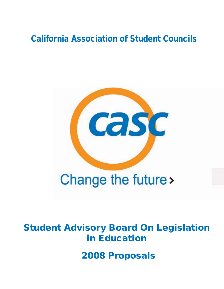# California Association of Student Councils



# Student Advisory Board On Legislation in Education

2008 Proposals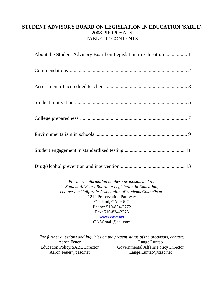# **STUDENT ADVISORY BOARD ON LEGISLATION IN EDUCATION (SABLE)**  2008 PROPOSALS TABLE OF CONTENTS

*For more information on these proposals and the Student Advisory Board on Legislation in Education, contact the California Association of Students Councils at:*  1212 Preservation Parkway Oakland, CA 94612 Phone: 510-834-2272 Fax: 510-834-2275 www.casc.net CASCmail@aol.com

*For further questions and inquiries on the present status of the proposals, contact:*  Aaron Feuer Education Policy/SABE Director Aaron.Feuer@casc.net Lange Luntao Governmental Affairs Policy Director Lange.Luntao@casc.net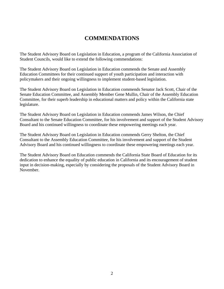# **COMMENDATIONS**

The Student Advisory Board on Legislation in Education, a program of the California Association of Student Councils, would like to extend the following commendations:

The Student Advisory Board on Legislation in Education commends the Senate and Assembly Education Committees for their continued support of youth participation and interaction with policymakers and their ongoing willingness to implement student-based legislation.

The Student Advisory Board on Legislation in Education commends Senator Jack Scott, Chair of the Senate Education Committee, and Assembly Member Gene Mullin, Chair of the Assembly Education Committee, for their superb leadership in educational matters and policy within the California state legislature.

The Student Advisory Board on Legislation in Education commends James Wilson, the Chief Consultant to the Senate Education Committee, for his involvement and support of the Student Advisory Board and his continued willingness to coordinate these empowering meetings each year.

The Student Advisory Board on Legislation in Education commends Gerry Shelton, the Chief Consultant to the Assembly Education Committee, for his involvement and support of the Student Advisory Board and his continued willingness to coordinate these empowering meetings each year.

The Student Advisory Board on Education commends the California State Board of Education for its dedication to enhance the equality of public education in California and its encouragement of student input in decision-making, especially by considering the proposals of the Student Advisory Board in November.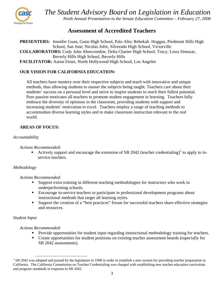

# **Assessment of Accredited Teachers**

**PRESENTERS:** Jennifer Guan, Gunn High School, Palo Alto; Rebekah Hoggan, Piedmont Hills High School, San Jose; Nicolas Jofre, Silverado High School, Victorville **COLLABORATORS:** Cody John Abercrombie, Delta Charter High School, Tracy; Liora Simozar, Beverly Hills High School, Beverly Hills **FACILITATOR:** Aaron Feuer, North Hollywood High School, Los Angeles

# **OUR VISION FOR CALIFORNIA EDUCATION:**

All teachers have mastery over their respective subjects and teach with innovative and unique methods, thus allowing students to master the subjects being taught. Teachers care about their students' success on a personal level and strive to inspire students to reach their fullest potential. Pure passion motivates all teachers to promote student engagement in learning. Teachers fully embrace the diversity of opinions in the classroom, providing students with support and increasing students' motivation to excel. Teachers employ a range of teaching methods to accommodate diverse learning styles and to make classroom instruction relevant to the real world.

# **AREAS OF FOCUS:**

### *Accountability*

*Actions Recommended:* 

Actively support and encourage the extension of SB 2042 (teacher credentialing)<sup>1</sup> to apply to inservice teachers.

# *Methodology*

### *Actions Recommended:*

- Support extra training in different teaching methodologies for instructors who work in underperforming schools.
- **Encourage in-service teachers to participate in professional development programs about** instructional methods that target all learning styles.
- Support the creation of a "best practices" forum for successful teachers share effective strategies and resources.

# *Student Input*

- Provide opportunities for student input regarding instructional methodology training for teachers.
- Create opportunities for student positions on existing teacher assessment boards (especially for SB 2042 assessments).

<sup>&</sup>lt;sup>1</sup> SB 2042 was adopted and passed by the legislature in 1998 in order to establish a new system for providing teacher preparation in California. The California Commission on Teacher Credentialing was charged with establishing new teacher education curriculum and program standards in response to SB 2042.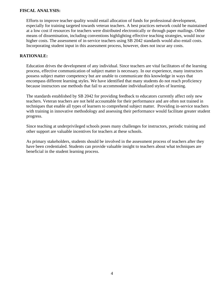### **FISCAL ANALYSIS:**

Efforts to improve teacher quality would entail allocation of funds for professional development, especially for training targeted towards veteran teachers. A best practices network could be maintained at a low cost if resources for teachers were distributed electronically or through paper mailings. Other means of dissemination, including conventions highlighting effective teaching strategies, would incur higher costs. The assessment of in-service teachers using SB 2042 standards would also entail costs. Incorporating student input in this assessment process, however, does not incur any costs.

### **RATIONALE:**

Education drives the development of any individual. Since teachers are vital facilitators of the learning process, effective communication of subject matter is necessary. In our experience, many instructors possess subject matter competency but are unable to communicate this knowledge in ways that encompass different learning styles. We have identified that many students do not reach proficiency because instructors use methods that fail to accommodate individualized styles of learning.

The standards established by SB 2042 for providing feedback to educators currently affect only new teachers. Veteran teachers are not held accountable for their performance and are often not trained in techniques that enable all types of learners to comprehend subject matter. Providing in-service teachers with training in innovative methodology and assessing their performance would facilitate greater student progress.

Since teaching at underprivileged schools poses many challenges for instructors, periodic training and other support are valuable incentives for teachers at these schools.

As primary stakeholders, students should be involved in the assessment process of teachers after they have been credentialed. Students can provide valuable insight to teachers about what techniques are beneficial in the student learning process.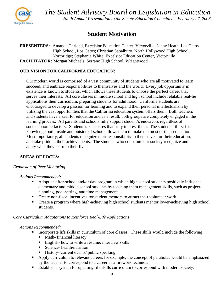

# **Student Motivation**

**PRESENTERS:** Amanda Garland, Excelsior Education Center, Victorville; Jenny Heath, Los Gatos High School, Los Gatos; Christian Sabalburo, North Hollywood High School, Northridge; Stephanie White, Excelsior Education Center, Victorville **FACILITATOR:** Morgan Michaels, Serrano High School, Wrightwood

# **OUR VISION FOR CALIFORNIA EDUCATION:**

Our modern world is comprised of a vast community of students who are all motivated to learn, succeed, and embrace responsibilities to themselves and the world. Every job opportunity in existence is known to students, which allows these students to choose the perfect career that serves their interests. All core classes in middle school and high school include relatable real-lie applications their curriculum, preparing students for adulthood. California students are encouraged to develop a passion for learning and to expand their personal intellectualism by utilizing the vast opportunities that the California education system offers them. Both teachers and students have a zeal for education and as a result, both groups are completely engaged in the learning process. All parents and schools fully support student's endeavors regardless of socioeconomic factors. Students take classes that truly interest them. The students' thirst for knowledge both inside and outside of school allows them to make the most of their education. Most importantly, all students recognize their responsibility to themselves for their education, and take pride in their achievements. The students who constitute our society recognize and apply what they learn to their lives.

# **AREAS OF FOCUS:**

### *Expansion of Peer Mentoring*

*Actions Recommended:* 

- Adopt an after-school and/or day program in which high school students positively influence elementary and middle school students by teaching them management skills, such as projectplanning, goal-setting, and time management.
- Create non-fiscal incentives for student mentors to attract their volunteer work.
- Create a program where high-achieving high school students mentor lower-achieving high school students.

### *Core Curriculum Adaptations to Reinforce Real-Life Applications*

- Incorporate life skills in curriculum of core classes. These skills would include the following:
	- Math- financial literacy
	- English- how to write a resume, interview skills
	- Science- health/nutrition
	- History- current events/ public speaking
- Apply curriculum to relevant careers for example, the concept of parabolas would be emphasized by the teacher to correspond to a career as a firework technician.
- Establish a system for updating life skills curriculum to correspond with modern society.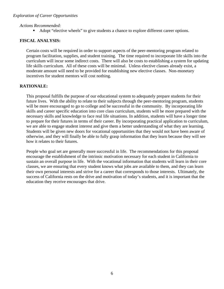### *Actions Recommended:*

Adopt "elective wheels" to give students a chance to explore different career options.

# **FISCAL ANALYSIS:**

Certain costs will be required in order to support aspects of the peer-mentoring program related to program facilitation, supplies, and student training. The time required to incorporate life skills into the curriculum will incur some indirect costs. There will also be costs to establishing a system for updating life skills curriculum. All of these costs will be minimal. Unless elective classes already exist, a moderate amount will need to be provided for establishing new elective classes. Non-monetary incentives for student mentors will cost nothing.

# **RATIONALE:**

This proposal fulfills the purpose of our educational system to adequately prepare students for their future lives. With the ability to relate to their subjects through the peer-mentoring program, students will be more encouraged to go to college and be successful in the community. By incorporating life skills and career specific education into core class curriculum, students will be more prepared with the necessary skills and knowledge to face real life situations. In addition, students will have a longer time to prepare for their futures in terms of their career. By incorporating practical application to curriculum, we are able to engage student interest and give them a better understanding of what they are learning. Students will be given new doors for vocational opportunities that they would not have been aware of otherwise, and they will finally be able to fully grasp information that they learn because they will see how it relates to their futures.

People who goal set are generally more successful in life. The recommendations for this proposal encourage the establishment of the intrinsic motivation necessary for each student in California to sustain an overall purpose in life. With the vocational information that students will learn in their core classes, we are ensuring that every student knows what jobs are available to them, and they can learn their own personal interests and strive for a career that corresponds to those interests. Ultimately, the success of California rests on the drive and motivation of today's students, and it is important that the education they receive encourages that drive.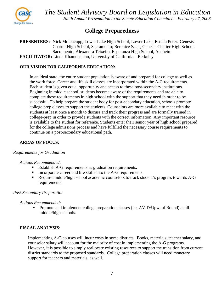

# **College Preparedness**

**PRESENTERS:** Nick Molencupp, Lower Lake High School, Lower Lake; Estella Perez, Genesis Charter High School, Sacramento; Berenice Salas, Genesis Charter High School, Sacramento; Alexandra Teixeira, Esperanza High School, Anaheim **FACILITATOR:** Linda Khamoushian, University of California – Berkeley

# **OUR VISION FOR CALIFORNIA EDUCATION:**

In an ideal state, the entire student population is aware of and prepared for college as well as the work force. Career and life skill classes are incorporated within the A-G requirements. Each student is given equal opportunity and access to these post-secondary institutions. Beginning in middle school, students become aware of the requirements and are able to complete these requirements in high school with the support that they need in order to be successful. To help prepare the student body for post-secondary education, schools promote college prep classes to support the students. Counselors are more available to meet with the students at least once a month to discuss and track their progress and are formally trained in college-prep in order to provide students with the correct information. Any important resource is available to the student for reference. Students enter their senior year of high school prepared for the college admissions process and have fulfilled the necessary course requirements to continue on a post-secondary educational path.

### **AREAS OF FOCUS:**

### *Requirements for Graduation*

### *Actions Recommended:*

- Establish A-G requirements as graduation requirements.
- Incorporate career and life skills into the A-G requirements.
- Require middle/high school academic counselors to track student's progress towards A-G requirements.

### *Post-Secondary Preparation*

*Actions Recommended:* 

**Promote and implement college preparation classes (i.e. AVID/Upward Bound) at all** middle/high schools.

# **FISCAL ANALYSIS:**

Implementing A-G courses will incur costs in some districts. Books, materials, teacher salary, and counselor salary will account for the majority of cost in implementing the A-G programs. However, it is possible to simply reallocate existing resources to support the transition from current district standards to the proposed standards. College preparation classes will need monetary support for teachers and materials, as well.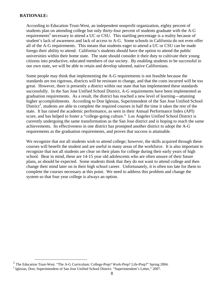### **RATIONALE:**

According to Education Trust-West, an independent nonprofit organization, eighty percent of students plan on attending college but only thirty-four percent of students graduate with the A-G requirements<sup>2</sup> necessary to attend a UC or CSU. This startling percentage is a reality because of student's lack of awareness and lack of access to A-G. Some schools in California do not even offer all of the A-G requirements. This means that students eager to attend a UC or CSU can be made forego their ability to attend. California's students should have the option to attend the public universities within their home state. The state should consider it their duty to cultivate their young citizens into productive, educated members of our society. By enabling students to be successful in our own state, we will be able to retain and develop talented, native Californians.

Some people may think that implementing the A-G requirements is not feasible because the standards are too rigorous, districts will be resistant to change, and that the costs incurred will be too great. However, there is presently a district within our state that has implemented these standards successfully. In the San Jose Unified School District, A-G requirements have been implemented as graduation requirements. As a result, the district has reached a new level of learning—attaining higher accomplishments. According to Don Iglesias, Superintendent of the San Jose Unified School District<sup>3</sup>, students are able to complete the required courses in half the time it takes the rest of the state. It has raised the academic performance, as seen in their Annual Performance Index (API) score, and has helped to foster a "college-going culture." Los Angeles Unified School District is currently undergoing the same transformation as the San Jose district and is hoping to reach the same achievements. Its effectiveness in one district has prompted another district to adopt the A-G requirements as the graduation requirements, and proves that success is attainable.

We recognize that not all students wish to attend college; however, the skills acquired through these courses will benefit the student and are useful in many areas of the workforce. It is also important to recognize that not all students are clear on their plans for college during their early years of high school. Bear in mind, these are 14-15 year old adolescents who are often unsure of their future plans, as should be expected. Some students think that they do not want to attend college and then change their mind later on in their high school career. Unfortunately, it is often too late for them to complete the courses necessary at this point. We need to address this problem and change the system so that four year college is always an option.

 <sup>2</sup> The Education Trust-West. "The A-G Curriculum: College-Prep? Work-Prep? Life-Prep?" Spring 2004.

<sup>&</sup>lt;sup>3</sup> Iglesias, Don; Superintendent of San Jose Unified School District. "Superintendent's Letter," 2007.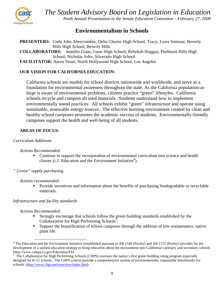

# **Environmentalism in Schools**

**PRESENTERS:** Cody John Abercrombie, Delta Charter High School, Tracy; Liora Simozar, Beverly Hills High School, Beverly Hills

**COLLABORATORS:** Jennifer Guan, Gunn High School; Rebekah Hoggan, Piedmont Hills High School; Nicholas Jofre, Silverado High School

**FACILITATOR:** Aaron Feuer, North Hollywood High School, Los Angeles

# **OUR VISION FOR CALIFORNIA EDUCATION:**

California schools are models for school districts nationwide and worldwide, and serve as a foundation for environmental awareness throughout the state. As the California population-atlarge is aware of environmental problems, citizens practice "green" lifestyles. California schools recycle and compost all used materials. Students understand how to implement environmentally sound practices. All schools exhibit "green" infrastructure and operate using sustainable, renewable energy sources. The effective learning environment created by clean and healthy school campuses promotes the academic success of students. Environmentally-friendly campuses support the health and well-being of all students.

# **AREAS OF FOCUS:**

### *Curriculum Additions*

### *Actions Recommended:*

- Continue to support the incorporation of environmental curriculum into science and health classes (c.f. Education and the Environment Initiative<sup>4</sup>).
- *" Green" supply purchasing*

### *Actions recommended*:

**Provide incentives and information about the benefits of purchasing biodegradable or recyclable** materials.

### *Infrastructure and facility standards*

- Strongly encourage that schools follow the green building standards established by the Collaborative for High Performing Schools<sup>5</sup>.
- Support the beautification of school campuses through the addition of low-maintenance, native plant life.

<sup>&</sup>lt;sup>4</sup> The Education and the Environment Initiative (established pursuant to AB 1548 (Pavley) and AB 1721 (Pavley) provides for the development of a unified education strategy to bring education about the environment into California's primary and secondary schools (http://www.calepa.ca.gov/Education/EEI

<sup>5</sup> The Collaborative for High Performing Schools (CHPS) oversees the nation's first green building rating program especially designed for K-12 schools. The CHPS criteria provide a comprehensive system of environmentally responsible benchmarks for schools. (http://www.chps.net/overview/index.htm)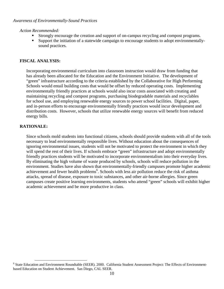*Action Recommended:* 

- Strongly encourage the creation and support of on-campus recycling and compost programs.
- Support the initiation of a statewide campaign to encourage students to adopt environmentallysound practices.

# **FISCAL ANALYSIS:**

Incorporating environmental curriculum into classroom instruction would draw from funding that has already been allocated for the Education and the Environment Initiative. The development of "green" infrastructure according to the criteria established by the Collaborative for High Performing Schools would entail building costs that would be offset by reduced operating costs. Implementing environmentally friendly practices at schools would also incur costs associated with creating and maintaining recycling and compost programs, purchasing biodegradable materials and recyclables for school use, and employing renewable energy sources to power school facilities. Digital, paper, and in-person efforts to encourage environmentally friendly practices would incur development and distribution costs. However, schools that utilize renewable energy sources will benefit from reduced energy bills.

# **RATIONALE:**

Since schools mold students into functional citizens, schools should provide students with all of the tools necessary to lead environmentally responsible lives. Without education about the consequences of ignoring environmental issues, students will not be motivated to protect the environment in which they will spend the rest of their lives. If schools embrace "green" infrastructure and adopt environmentally friendly practices students will be motivated to incorporate environmentalism into their everyday lives. By eliminating the high volume of waste produced by schools, schools will reduce pollution in the environment. Studies have also shown that environmentally-friendly campuses promote higher academic achievement and fewer health problems<sup>6</sup>. Schools with less air pollution reduce the risk of asthma attacks, spread of disease, exposure to toxic substances, and other air-borne allergies. Since green campuses create positive learning environments, students who attend "green" schools will exhibit higher academic achievement and be more productive in class.

<sup>&</sup>lt;sup>6</sup> State Education and Environment Roundtable (SEER). 2000. California Student Assessment Project: The Effects of Environmentbased Education on Student Achievement. San Diego, CAL SEER.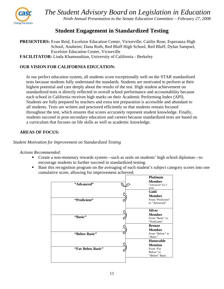

# **Student Engagement in Standardized Testing**

**PRESENTERS:** Evan Reid, Excelsior Education Center, Victorville; Caitlin Rose, Esperanza High School, Anaheim; Dana Roth, Red Bluff High School, Red Bluff; Dylan Sampsel, Excelsior Education Center, Victorville **FACILITATOR:** Linda Khamoushian, University of California - Berkeley

# **OUR VISION FOR CALIFORNIA EDUCATION:**

In our perfect education system, all students score exceptionally well on the STAR standardized tests because students fully understand the standards. Students are motivated to perform at their highest potential and care deeply about the results of the test. High student achievement on standardized tests is directly reflected in overall school performance and accountability because each school in California receives high marks on their Academic Performing Index (API). Students are fully prepared by teachers and extra test preparation is accessible and abundant to all students. Tests are written and proctored efficiently so that students remain focused throughout the test, which ensures that scores accurately represent student knowledge. Finally, students succeed in post-secondary education and careers because standardized tests are based on a curriculum that focuses on life skills as well as academic knowledge.

# **AREAS OF FOCUS:**

### *Student Motivation for Improvement on Standardized Testing*

- Create a non-monetary rewards system—such as seals on students' high school diplomas—to encourage students to further succeed in standardized testing.
- Base this recognition program on the averaging of each student's subject category scores into one cumulative score, allowing for improvement achieved.

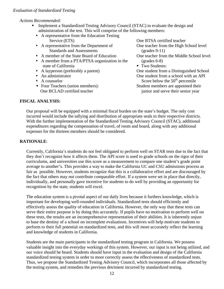*Actions Recommended:* 

- **Implement a Standardized Testing Advisory Council (STAC) to evaluate the design and** administration of the test. This will comprise of the following members:
	- A representative from the Education Testing Service (ETS)
	- A representative from the Department of Standards and Assessments
	- A member of the State Board of Education
	- A member from a PTA/PTSA organization in the state of California
	- A layperson (preferably a parent)
	- **An administrator**
	- A counselor
	- Four Teachers (union members): One BCLAD certified teacher

One teacher from the High School level (grades 9-11) One teacher from the Middle School level (grades 6-8) ■ Two Students: One student from a Distinguished School One student from a school with an API Score below the  $50<sup>th</sup>$  percentile Student members are appointed their junior and serve their senior year

One BTSA certified teacher

# **FISCAL ANALYSIS:**

Our proposal will be equipped with a minimal fiscal burden on the state's budget. The only cost incurred would include the tallying and distribution of appropriate seals to their respective districts. With the further implementation of the Standardized Testing Advisory Council (STAC), additional expenditures regarding the compensation of travel, of room and board, along with any additional expenses for the thirteen members should be considered.

# **RATIONALE**:

Currently, California's students do not feel obligated to perform well on STAR tests due to the fact that they don't recognize how it affects them. The API score is used to grade schools on the rigor of their curriculums, and universities use this score as a measurement to compare one student's grade point average to another's. This provides a way to make the California UC and CSU admissions process as fair as possible. However, students recognize that this is a collaborative effort and are discouraged by the fact that others may not contribute comparable effort. If a system were set in place that directly, individually, and personally gave incentive for students to do well by providing an opportunity for recognition by the state, students will excel.

The education system is a pivotal aspect of our daily lives because it furthers knowledge, which is important for developing well-rounded individuals. Standardized tests should efficiently and effectively assess the quality of education in California. However, the only way that these tests can serve their entire purpose is by doing this accurately. If pupils have no motivation to perform well on these tests, the results are an incomprehensive representation of their abilities. It is inherently unjust to base the destiny of a school on incomplete evaluations. Incentives will help motivate students to perform to their full potential on standardized tests, and this will more accurately reflect the learning and knowledge of students in California.

Students are the main participants in the standardized testing program in California. We possess valuable insight into the everyday workings of this system. However, our input is not being utilized, and our voice should be heard. Students should have input in the evaluation and design of the California standardized testing system in order to more correctly assess the effectiveness of standardized tests. Thus, we propose the Standardized Testing Advisory Council, which incorporates all those affected by the testing system, and remedies the previous detriment incurred by standardized testing.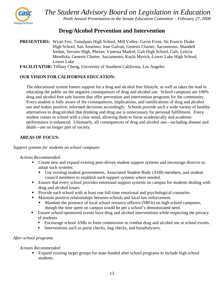

# **Drug/Alcohol Prevention and Intervention**

**PRESENTERS:** Wyatt Frei, Tamalpais High School, Mill Valley; Gavin Front, Sir Francis Drake High School, San Anselmo; Jose Galvan, Genesis Charter, Sacramento; Shandell Jordan, Serrano High, Phelan; Vanessa Madrid, Galt High School, Galt; Leticia Mendiola, Genesis Charter, Sacramento; Kayla Myrick, Lower Lake High School, Lower Lake

**FACILITATOR:** Tiffany Cheng, University of Southern California, Los Angeles

# **OUR VISION FOR CALIFORNIA EDUCATION:**

The educational system fosters support for a drug and alcohol free lifestyle, as well as takes the lead in educating the public on the negative consequences of drug and alcohol use. School campuses are 100% drug and alcohol free safe havens that offer prevention and intervention programs for the community. Every student is fully aware of the consequences, implications, and ramifications of drug and alcohol use and makes positive, informed decisions accordingly. Schools provide such a wide variety of healthy alternatives to drug/alcohol that drinking and drug use is unnecessary for personal fulfillment. Every student comes to school with a clear mind, allowing them to focus academically and academic performance is enhanced. Ultimately, all consequences of drug and alcohol use—including disease and death—are no longer part of society.

# **AREAS OF FOCUS:**

### *Support systems for students on school campuses*

### *Actions Recommended:*

- Create new and expand existing peer-driven student support systems and encourage districts to adopt such systems.
	- Use existing student governments, Associated Student Body (ASB) members, and student council members to establish such support systems where needed.
- **Ensure that every school provides emotional support systems on campus for students dealing with** drug and alcohol issues.
- **Provide each school with at least one full-time emotional and psychological counselor.**
- Maintain positive relationships between schools and local law enforcement.
	- Mandate the presence of local school resource officers (SROs) on high school campuses, though the time spent on campus would be per a school's demonstrated need.
- **Ensure school-sponsored events have drug and alcohol interventions while respecting the privacy** of students.
	- Encourage school ASBs to form commission to combat drug and alcohol use at school events.
	- Interventions such as purse checks, bag checks, and breathalyzers.

# *After-school programs*

# *Actions Recommended:*

Expand existing target groups for state-funded after school programs to include high school students.